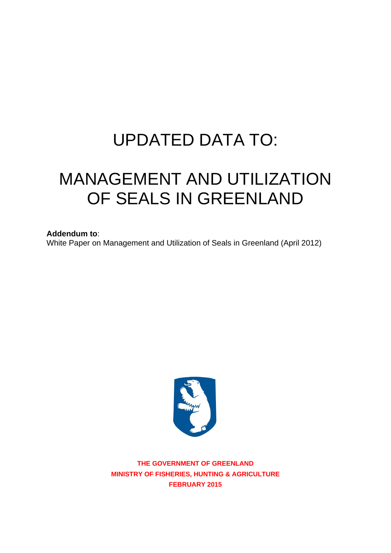# UPDATED DATA TO:

# MANAGEMENT AND UTILIZATION OF SEALS IN GREENLAND

**Addendum to**:

White Paper on Management and Utilization of Seals in Greenland (April 2012)



**THE GOVERNMENT OF GREENLAND MINISTRY OF FISHERIES, HUNTING & AGRICULTURE FEBRUARY 2015**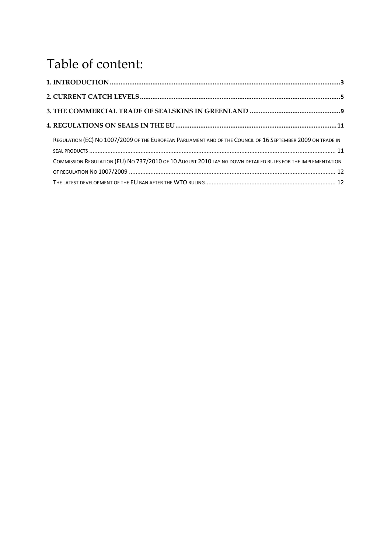# Table of content:

| REGULATION (EC) NO 1007/2009 OF THE EUROPEAN PARLIAMENT AND OF THE COUNCIL OF 16 SEPTEMBER 2009 ON TRADE IN |  |
|-------------------------------------------------------------------------------------------------------------|--|
| COMMISSION REGULATION (EU) NO 737/2010 OF 10 AUGUST 2010 LAYING DOWN DETAILED RULES FOR THE IMPLEMENTATION  |  |
|                                                                                                             |  |
|                                                                                                             |  |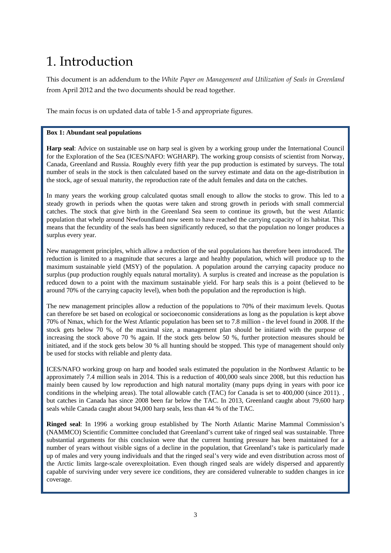# 1. Introduction

This document is an addendum to the *White Paper on Management and Utilization of Seals in Greenland* from April 2012 and the two documents should be read together.

The main focus is on updated data of table 1-5 and appropriate figures.

#### **Box 1: Abundant seal populations**

**Harp seal**: Advice on sustainable use on harp seal is given by a working group under the International Council for the Exploration of the Sea (ICES/NAFO: WGHARP). The working group consists of scientist from Norway, Canada, Greenland and Russia. Roughly every fifth year the pup production is estimated by surveys. The total number of seals in the stock is then calculated based on the survey estimate and data on the age-distribution in the stock, age of sexual maturity, the reproduction rate of the adult females and data on the catches.

In many years the working group calculated quotas small enough to allow the stocks to grow. This led to a steady growth in periods when the quotas were taken and strong growth in periods with small commercial catches. The stock that give birth in the Greenland Sea seem to continue its growth, but the west Atlantic population that whelp around Newfoundland now seem to have reached the carrying capacity of its habitat. This means that the fecundity of the seals has been significantly reduced, so that the population no longer produces a surplus every year.

New management principles, which allow a reduction of the seal populations has therefore been introduced. The reduction is limited to a magnitude that secures a large and healthy population, which will produce up to the maximum sustainable yield (MSY) of the population. A population around the carrying capacity produce no surplus (pup production roughly equals natural mortality). A surplus is created and increase as the population is reduced down to a point with the maximum sustainable yield. For harp seals this is a point (believed to be around 70% of the carrying capacity level), when both the population and the reproduction is high.

The new management principles allow a reduction of the populations to 70% of their maximum levels. Quotas can therefore be set based on ecological or socioeconomic considerations as long as the population is kept above 70% of Nmax, which for the West Atlantic population has been set to 7.8 million - the level found in 2008. If the stock gets below 70 %, of the maximal size, a management plan should be initiated with the purpose of increasing the stock above 70 % again. If the stock gets below 50 %, further protection measures should be initiated, and if the stock gets below 30 % all hunting should be stopped. This type of management should only be used for stocks with reliable and plenty data.

ICES/NAFO working group on harp and hooded seals estimated the population in the Northwest Atlantic to be approximately 7.4 million seals in 2014. This is a reduction of 400,000 seals since 2008, but this reduction has mainly been caused by low reproduction and high natural mortality (many pups dying in years with poor ice conditions in the whelping areas). The total allowable catch (TAC) for Canada is set to 400,000 (since 2011). , but catches in Canada has since 2008 been far below the TAC. In 2013, Greenland caught about 79,600 harp seals while Canada caught about 94,000 harp seals, less than 44 % of the TAC.

**Ringed seal**: In 1996 a working group established by The North Atlantic Marine Mammal Commission's (NAMMCO) Scientific Committee concluded that Greenland's current take of ringed seal was sustainable. Three substantial arguments for this conclusion were that the current hunting pressure has been maintained for a number of years without visible signs of a decline in the population, that Greenland's take is particularly made up of males and very young individuals and that the ringed seal's very wide and even distribution across most of the Arctic limits large-scale overexploitation. Even though ringed seals are widely dispersed and apparently capable of surviving under very severe ice conditions, they are considered vulnerable to sudden changes in ice coverage.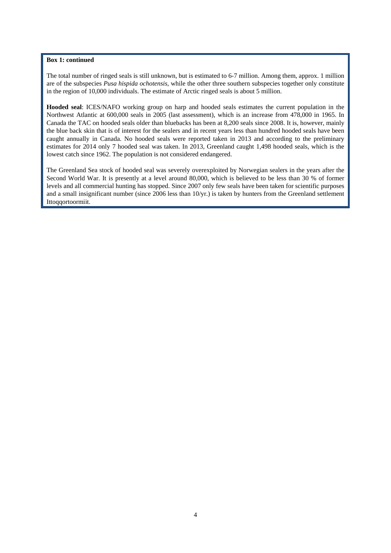#### **Box 1: continued**

The total number of ringed seals is still unknown, but is estimated to 6-7 million. Among them, approx. 1 million are of the subspecies *Pusa hispida ochotensis*, while the other three southern subspecies together only constitute in the region of 10,000 individuals. The estimate of Arctic ringed seals is about 5 million.

**Hooded seal**: ICES/NAFO working group on harp and hooded seals estimates the current population in the Northwest Atlantic at 600,000 seals in 2005 (last assessment), which is an increase from 478,000 in 1965. In Canada the TAC on hooded seals older than bluebacks has been at 8,200 seals since 2008. It is, however, mainly the blue back skin that is of interest for the sealers and in recent years less than hundred hooded seals have been caught annually in Canada. No hooded seals were reported taken in 2013 and according to the preliminary estimates for 2014 only 7 hooded seal was taken. In 2013, Greenland caught 1,498 hooded seals, which is the lowest catch since 1962. The population is not considered endangered.

The Greenland Sea stock of hooded seal was severely overexploited by Norwegian sealers in the years after the Second World War. It is presently at a level around 80,000, which is believed to be less than 30 % of former levels and all commercial hunting has stopped. Since 2007 only few seals have been taken for scientific purposes and a small insignificant number (since 2006 less than 10/yr.) is taken by hunters from the Greenland settlement Ittoqqortoormiit.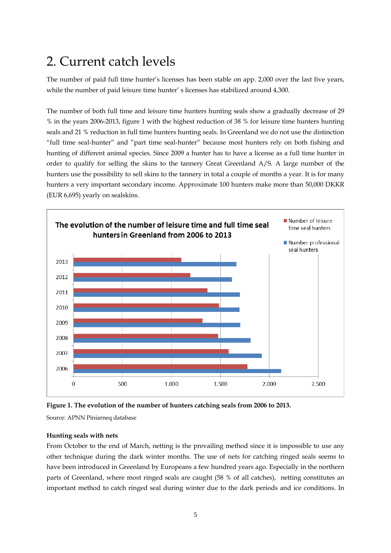# 2. Current catch levels

The number of paid full time hunter's licenses has been stable on app. 2,000 over the last five years, while the number of paid leisure time hunter' s licenses has stabilized around 4,300.

The number of both full time and leisure time hunters hunting seals show a gradually decrease of 29 % in the years 2006-2013, figure 1 with the highest reduction of 38 % for leisure time hunters hunting seals and 21 % reduction in full time hunters hunting seals. In Greenland we do not use the distinction "full time seal-hunter" and "part time seal-hunter" because most hunters rely on both fishing and hunting of different animal species. Since 2009 a hunter has to have a license as a full time hunter in order to qualify for selling the skins to the tannery Great Greenland A/S. A large number of the hunters use the possibility to sell skins to the tannery in total a couple of months a year. It is for many hunters a very important secondary income. Approximate 100 hunters make more than 50,000 DKKR (EUR 6,695) yearly on sealskins.





Source: APNN Piniarneq database

#### **Hunting seals with nets**

From October to the end of March, netting is the prevailing method since it is impossible to use any other technique during the dark winter months. The use of nets for catching ringed seals seems to have been introduced in Greenland by Europeans a few hundred years ago. Especially in the northern parts of Greenland, where most ringed seals are caught (58 % of all catches), netting constitutes an important method to catch ringed seal during winter due to the dark periods and ice conditions. In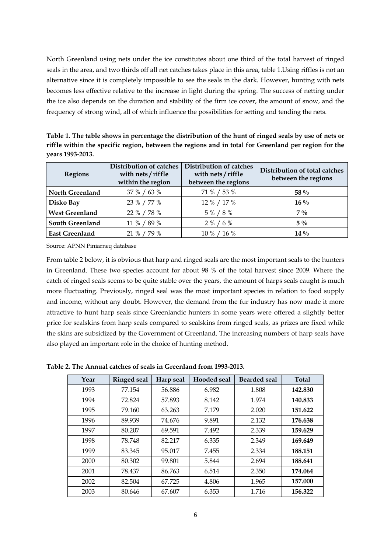North Greenland using nets under the ice constitutes about one third of the total harvest of ringed seals in the area, and two thirds off all net catches takes place in this area, table 1.Using riffles is not an alternative since it is completely impossible to see the seals in the dark. However, hunting with nets becomes less effective relative to the increase in light during the spring. The success of netting under the ice also depends on the duration and stability of the firm ice cover, the amount of snow, and the frequency of strong wind, all of which influence the possibilities for setting and tending the nets.

**Table 1. The table shows in percentage the distribution of the hunt of ringed seals by use of nets or riffle within the specific region, between the regions and in total for Greenland per region for the years 1993-2013.**

| <b>Regions</b>         | <b>Distribution of catches</b><br>with nets / riffle<br>within the region | Distribution of catches<br>with nets / riffle<br>between the regions | Distribution of total catches<br>between the regions |
|------------------------|---------------------------------------------------------------------------|----------------------------------------------------------------------|------------------------------------------------------|
| <b>North Greenland</b> | 37 % / 63 %                                                               | 71 % / 53 %                                                          | 58 $\%$                                              |
| Disko Bay              | 23 % / 77 %                                                               | 12 % / 17 %                                                          | $16\%$                                               |
| <b>West Greenland</b>  | 22 % / 78 %                                                               | 5 % / 8 %                                                            | $7\%$                                                |
| <b>South Greenland</b> | 11 % / 89 %                                                               | $2\% / 6\%$                                                          | $5\%$                                                |
| <b>East Greenland</b>  | 21 % / 79 %                                                               | 10 % / 16 %                                                          | $14\%$                                               |

Source: APNN Piniarneq database

From table 2 below, it is obvious that harp and ringed seals are the most important seals to the hunters in Greenland. These two species account for about 98 % of the total harvest since 2009. Where the catch of ringed seals seems to be quite stable over the years, the amount of harps seals caught is much more fluctuating. Previously, ringed seal was the most important species in relation to food supply and income, without any doubt. However, the demand from the fur industry has now made it more attractive to hunt harp seals since Greenlandic hunters in some years were offered a slightly better price for sealskins from harp seals compared to sealskins from ringed seals, as prizes are fixed while the skins are subsidized by the Government of Greenland. The increasing numbers of harp seals have also played an important role in the choice of hunting method.

**Table 2. The Annual catches of seals in Greenland from 1993-2013.** 

| Year | <b>Ringed seal</b> | Harp seal | Hooded seal | <b>Bearded seal</b> | <b>Total</b> |
|------|--------------------|-----------|-------------|---------------------|--------------|
| 1993 | 77.154             | 56.886    | 6.982       | 1.808               | 142.830      |
| 1994 | 72.824             | 57.893    | 8.142       | 1.974               | 140.833      |
| 1995 | 79.160             | 63.263    | 7.179       | 2.020               | 151.622      |
| 1996 | 89.939             | 74.676    | 9.891       | 2.132               | 176.638      |
| 1997 | 80.207             | 69.591    | 7.492       | 2.339               | 159.629      |
| 1998 | 78.748             | 82.217    | 6.335       | 2.349               | 169.649      |
| 1999 | 83.345             | 95.017    | 7.455       | 2.334               | 188.151      |
| 2000 | 80.302             | 99.801    | 5.844       | 2.694               | 188.641      |
| 2001 | 78.437             | 86.763    | 6.514       | 2.350               | 174.064      |
| 2002 | 82.504             | 67.725    | 4.806       | 1.965               | 157.000      |
| 2003 | 80.646             | 67.607    | 6.353       | 1.716               | 156.322      |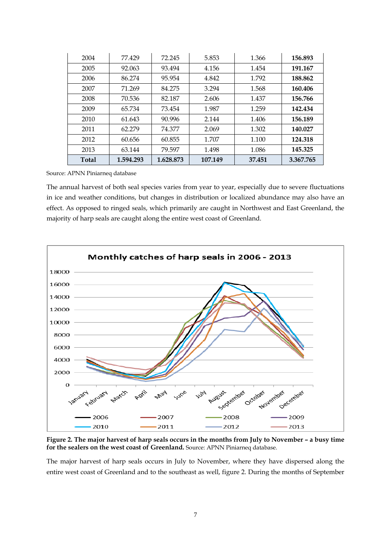| 2004         | 77.429    | 72.245    | 5.853   | 1.366  | 156.893   |
|--------------|-----------|-----------|---------|--------|-----------|
| 2005         | 92.063    | 93.494    | 4.156   | 1.454  | 191.167   |
| 2006         | 86.274    | 95.954    | 4.842   | 1.792  | 188.862   |
| 2007         | 71.269    | 84.275    | 3.294   | 1.568  | 160.406   |
| 2008         | 70.536    | 82.187    | 2.606   | 1.437  | 156.766   |
| 2009         | 65.734    | 73.454    | 1.987   | 1.259  | 142.434   |
| 2010         | 61.643    | 90.996    | 2.144   | 1.406  | 156.189   |
| 2011         | 62.279    | 74.377    | 2.069   | 1.302  | 140.027   |
| 2012         | 60.656    | 60.855    | 1.707   | 1.100  | 124.318   |
| 2013         | 63.144    | 79.597    | 1.498   | 1.086  | 145.325   |
| <b>Total</b> | 1.594.293 | 1.628.873 | 107.149 | 37.451 | 3.367.765 |

Source: APNN Piniarneq database

The annual harvest of both seal species varies from year to year, especially due to severe fluctuations in ice and weather conditions, but changes in distribution or localized abundance may also have an effect. As opposed to ringed seals, which primarily are caught in Northwest and East Greenland, the majority of harp seals are caught along the entire west coast of Greenland.



**Figure 2. The major harvest of harp seals occurs in the months from July to November – a busy time for the sealers on the west coast of Greenland.** Source: APNN Piniarneq database.

The major harvest of harp seals occurs in July to November, where they have dispersed along the entire west coast of Greenland and to the southeast as well, figure 2. During the months of September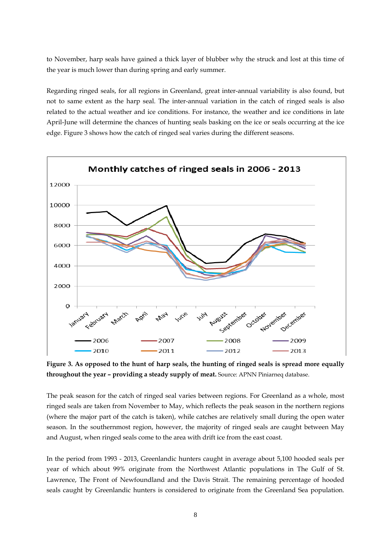to November, harp seals have gained a thick layer of blubber why the struck and lost at this time of the year is much lower than during spring and early summer.

Regarding ringed seals, for all regions in Greenland, great inter-annual variability is also found, but not to same extent as the harp seal. The inter-annual variation in the catch of ringed seals is also related to the actual weather and ice conditions. For instance, the weather and ice conditions in late April-June will determine the chances of hunting seals basking on the ice or seals occurring at the ice edge. Figure 3 shows how the catch of ringed seal varies during the different seasons.



**Figure 3. As opposed to the hunt of harp seals, the hunting of ringed seals is spread more equally throughout the year – providing a steady supply of meat.** Source: APNN Piniarneq database.

The peak season for the catch of ringed seal varies between regions. For Greenland as a whole, most ringed seals are taken from November to May, which reflects the peak season in the northern regions (where the major part of the catch is taken), while catches are relatively small during the open water season. In the southernmost region, however, the majority of ringed seals are caught between May and August, when ringed seals come to the area with drift ice from the east coast.

In the period from 1993 - 2013, Greenlandic hunters caught in average about 5,100 hooded seals per year of which about 99% originate from the Northwest Atlantic populations in The Gulf of St. Lawrence, The Front of Newfoundland and the Davis Strait. The remaining percentage of hooded seals caught by Greenlandic hunters is considered to originate from the Greenland Sea population.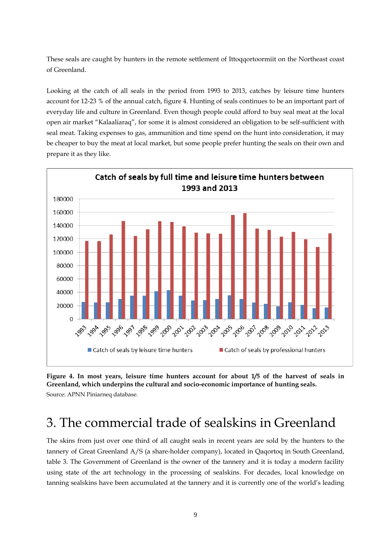These seals are caught by hunters in the remote settlement of Ittoqqortoormiit on the Northeast coast of Greenland.

Looking at the catch of all seals in the period from 1993 to 2013, catches by leisure time hunters account for 12-23 % of the annual catch, figure 4. Hunting of seals continues to be an important part of everyday life and culture in Greenland. Even though people could afford to buy seal meat at the local open air market "Kalaaliaraq", for some it is almost considered an obligation to be self-sufficient with seal meat. Taking expenses to gas, ammunition and time spend on the hunt into consideration, it may be cheaper to buy the meat at local market, but some people prefer hunting the seals on their own and prepare it as they like.



**Figure 4. In most years, leisure time hunters account for about 1/5 of the harvest of seals in Greenland, which underpins the cultural and socio-economic importance of hunting seals.**  Source: APNN Piniarneq database.

## 3. The commercial trade of sealskins in Greenland

The skins from just over one third of all caught seals in recent years are sold by the hunters to the tannery of Great Greenland A/S (a share-holder company), located in Qaqortoq in South Greenland, table 3. The Government of Greenland is the owner of the tannery and it is today a modern facility using state of the art technology in the processing of sealskins. For decades, local knowledge on tanning sealskins have been accumulated at the tannery and it is currently one of the world's leading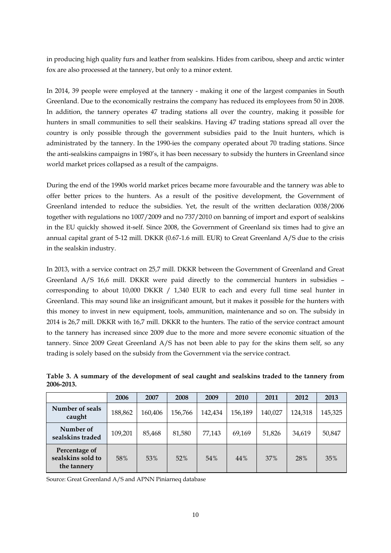in producing high quality furs and leather from sealskins. Hides from caribou, sheep and arctic winter fox are also processed at the tannery, but only to a minor extent.

In 2014, 39 people were employed at the tannery - making it one of the largest companies in South Greenland. Due to the economically restrains the company has reduced its employees from 50 in 2008. In addition, the tannery operates 47 trading stations all over the country, making it possible for hunters in small communities to sell their sealskins. Having 47 trading stations spread all over the country is only possible through the government subsidies paid to the Inuit hunters, which is administrated by the tannery. In the 1990-ies the company operated about 70 trading stations. Since the anti-sealskins campaigns in 1980's, it has been necessary to subsidy the hunters in Greenland since world market prices collapsed as a result of the campaigns.

During the end of the 1990s world market prices became more favourable and the tannery was able to offer better prices to the hunters. As a result of the positive development, the Government of Greenland intended to reduce the subsidies. Yet, the result of the written declaration 0038/2006 together with regulations no 1007/2009 and no 737/2010 on banning of import and export of sealskins in the EU quickly showed it-self. Since 2008, the Government of Greenland six times had to give an annual capital grant of 5-12 mill. DKKR (0.67-1.6 mill. EUR) to Great Greenland A/S due to the crisis in the sealskin industry.

In 2013, with a service contract on 25,7 mill. DKKR between the Government of Greenland and Great Greenland A/S 16,6 mill. DKKR were paid directly to the commercial hunters in subsidies – corresponding to about 10,000 DKKR / 1,340 EUR to each and every full time seal hunter in Greenland. This may sound like an insignificant amount, but it makes it possible for the hunters with this money to invest in new equipment, tools, ammunition, maintenance and so on. The subsidy in 2014 is 26,7 mill. DKKR with 16,7 mill. DKKR to the hunters. The ratio of the service contract amount to the tannery has increased since 2009 due to the more and more severe economic situation of the tannery. Since 2009 Great Greenland A/S has not been able to pay for the skins them self, so any trading is solely based on the subsidy from the Government via the service contract.

|                                                   | 2006    | 2007    | 2008    | 2009    | 2010    | 2011    | 2012    | 2013    |
|---------------------------------------------------|---------|---------|---------|---------|---------|---------|---------|---------|
| Number of seals<br>caught                         | 188,862 | 160,406 | 156,766 | 142,434 | 156,189 | 140,027 | 124,318 | 145,325 |
| Number of<br>sealskins traded                     | 109,201 | 85,468  | 81,580  | 77.143  | 69,169  | 51,826  | 34,619  | 50,847  |
| Percentage of<br>sealskins sold to<br>the tannery | 58%     | 53%     | 52%     | 54%     | 44%     | 37%     | 28%     | 35%     |

**Table 3. A summary of the development of seal caught and sealskins traded to the tannery from 2006-2013.** 

Source: Great Greenland A/S and APNN Piniarneq database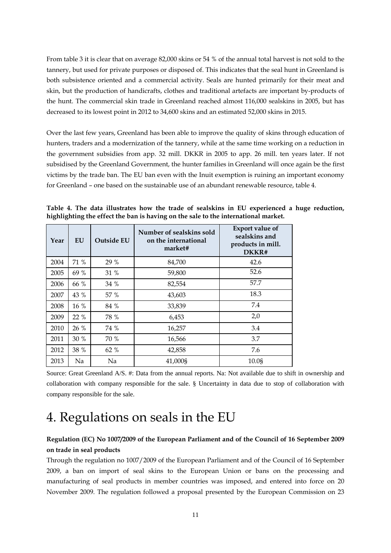From table 3 it is clear that on average 82,000 skins or 54 % of the annual total harvest is not sold to the tannery, but used for private purposes or disposed of. This indicates that the seal hunt in Greenland is both subsistence oriented and a commercial activity. Seals are hunted primarily for their meat and skin, but the production of handicrafts, clothes and traditional artefacts are important by-products of the hunt. The commercial skin trade in Greenland reached almost 116,000 sealskins in 2005, but has decreased to its lowest point in 2012 to 34,600 skins and an estimated 52,000 skins in 2015.

Over the last few years, Greenland has been able to improve the quality of skins through education of hunters, traders and a modernization of the tannery, while at the same time working on a reduction in the government subsidies from app. 32 mill. DKKR in 2005 to app. 26 mill. ten years later. If not subsidised by the Greenland Government, the hunter families in Greenland will once again be the first victims by the trade ban. The EU ban even with the Inuit exemption is ruining an important economy for Greenland – one based on the sustainable use of an abundant renewable resource, table 4.

**Table 4. The data illustrates how the trade of sealskins in EU experienced a huge reduction, highlighting the effect the ban is having on the sale to the international market.** 

| Year | EU   | Outside EU | Number of sealskins sold<br>on the international<br>market# | <b>Export value of</b><br>sealskins and<br>products in mill.<br>DKKR# |
|------|------|------------|-------------------------------------------------------------|-----------------------------------------------------------------------|
| 2004 | 71 % | 29 %       | 84,700                                                      | 42.6                                                                  |
| 2005 | 69 % | 31 %       | 59,800                                                      | 52.6                                                                  |
| 2006 | 66 % | 34 %       | 82,554                                                      | 57.7                                                                  |
| 2007 | 43 % | 57 %       | 43,603                                                      | 18.3                                                                  |
| 2008 | 16 % | 84 %       | 33,839                                                      | 7.4                                                                   |
| 2009 | 22 % | 78 %       | 6,453                                                       | 2,0                                                                   |
| 2010 | 26 % | 74 %       | 16,257                                                      | 3.4                                                                   |
| 2011 | 30 % | 70 %       | 16,566                                                      | 3.7                                                                   |
| 2012 | 38 % | 62 %       | 42,858                                                      | 7.6                                                                   |
| 2013 | Na   | Na         | 41,000\$                                                    | 10.08                                                                 |

Source: Great Greenland A/S. #: Data from the annual reports. Na: Not available due to shift in ownership and collaboration with company responsible for the sale. § Uncertainty in data due to stop of collaboration with company responsible for the sale.

### 4. Regulations on seals in the EU

#### **Regulation (EC) No 1007/2009 of the European Parliament and of the Council of 16 September 2009 on trade in seal products**

Through the regulation no 1007/2009 of the European Parliament and of the Council of 16 September 2009, a ban on import of seal skins to the European Union or bans on the processing and manufacturing of seal products in member countries was imposed, and entered into force on 20 November 2009. The regulation followed a proposal presented by the European Commission on 23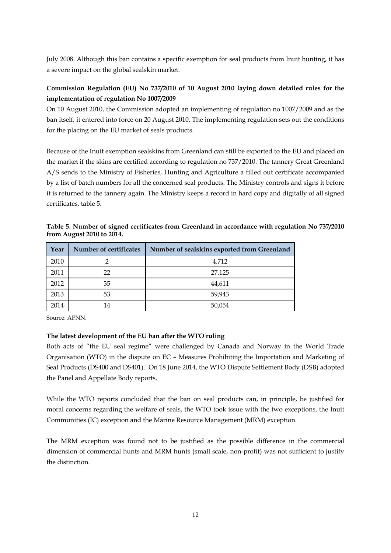July 2008. Although this ban contains a specific exemption for seal products from Inuit hunting, it has a severe impact on the global sealskin market.

#### **Commission Regulation (EU) No 737/2010 of 10 August 2010 laying down detailed rules for the implementation of regulation No 1007/2009**

On 10 August 2010, the Commission adopted an implementing of regulation no 1007/2009 and as the ban itself, it entered into force on 20 August 2010. The implementing regulation sets out the conditions for the placing on the EU market of seals products.

Because of the Inuit exemption sealskins from Greenland can still be exported to the EU and placed on the market if the skins are certified according to regulation no 737/2010. The tannery Great Greenland A/S sends to the Ministry of Fisheries, Hunting and Agriculture a filled out certificate accompanied by a list of batch numbers for all the concerned seal products. The Ministry controls and signs it before it is returned to the tannery again. The Ministry keeps a record in hard copy and digitally of all signed certificates, table 5.

| Year | Number of certificates | Number of sealskins exported from Greenland |
|------|------------------------|---------------------------------------------|
| 2010 |                        | 4.712                                       |
| 2011 | 22                     | 27.125                                      |
| 2012 | 35                     | 44,611                                      |
| 2013 | 53                     | 59,943                                      |
| 2014 | 14                     | 50,054                                      |

**Table 5. Number of signed certificates from Greenland in accordance with regulation No 737/2010 from August 2010 to 2014.** 

Source: APNN.

#### **The latest development of the EU ban after the WTO ruling**

Both acts of "the EU seal regime" were challenged by Canada and Norway in the World Trade Organisation (WTO) in the dispute on EC – Measures Prohibiting the Importation and Marketing of Seal Products (DS400 and DS401). On 18 June 2014, the WTO Dispute Settlement Body (DSB) adopted the Panel and Appellate Body reports.

While the WTO reports concluded that the ban on seal products can, in principle, be justified for moral concerns regarding the welfare of seals, the WTO took issue with the two exceptions, the Inuit Communities (IC) exception and the Marine Resource Management (MRM) exception.

The MRM exception was found not to be justified as the possible difference in the commercial dimension of commercial hunts and MRM hunts (small scale, non-profit) was not sufficient to justify the distinction.